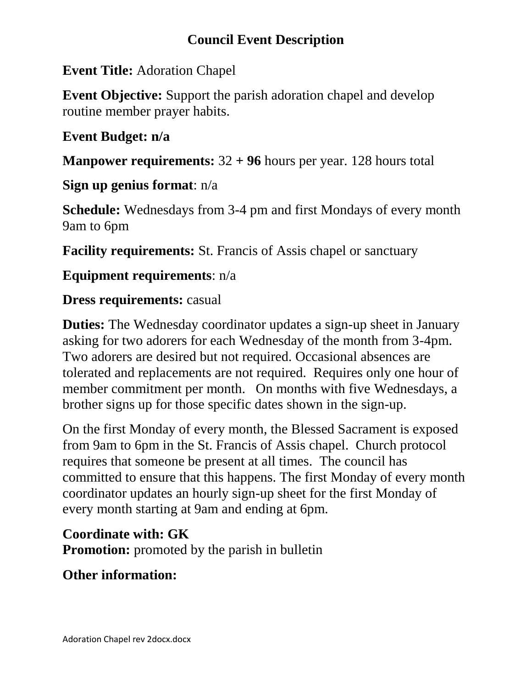## **Council Event Description**

**Event Title:** Adoration Chapel

**Event Objective:** Support the parish adoration chapel and develop routine member prayer habits.

# **Event Budget: n/a**

**Manpower requirements:** 32 **+ 96** hours per year. 128 hours total

**Sign up genius format**: n/a

**Schedule:** Wednesdays from 3-4 pm and first Mondays of every month 9am to 6pm

**Facility requirements:** St. Francis of Assis chapel or sanctuary

# **Equipment requirements**: n/a

### **Dress requirements:** casual

**Duties:** The Wednesday coordinator updates a sign-up sheet in January asking for two adorers for each Wednesday of the month from 3-4pm. Two adorers are desired but not required. Occasional absences are tolerated and replacements are not required. Requires only one hour of member commitment per month. On months with five Wednesdays, a brother signs up for those specific dates shown in the sign-up.

On the first Monday of every month, the Blessed Sacrament is exposed from 9am to 6pm in the St. Francis of Assis chapel. Church protocol requires that someone be present at all times. The council has committed to ensure that this happens. The first Monday of every month coordinator updates an hourly sign-up sheet for the first Monday of every month starting at 9am and ending at 6pm.

**Coordinate with: GK Promotion:** promoted by the parish in bulletin

**Other information:**